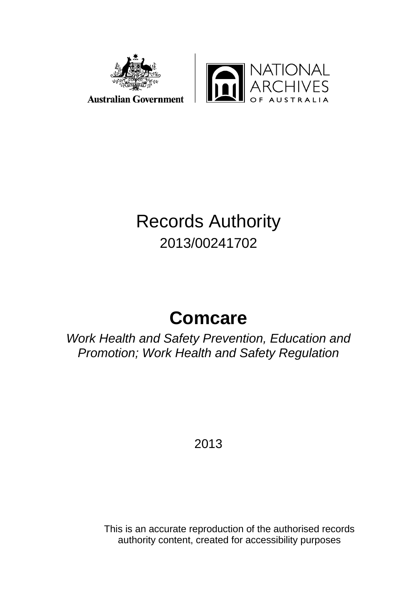



# Records Authority 2013/00241702

# **Comcare**

*Work Health and Safety Prevention, Education and Promotion; Work Health and Safety Regulation*

2013

This is an accurate reproduction of the authorised records authority content, created for accessibility purposes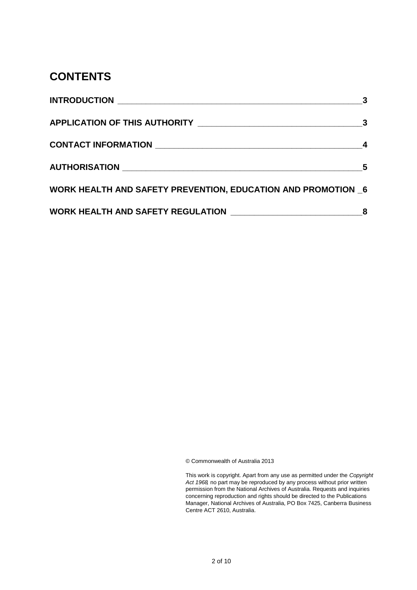#### **CONTENTS**

|                                                                     | 3 |
|---------------------------------------------------------------------|---|
|                                                                     |   |
|                                                                     |   |
|                                                                     | 5 |
| <b>WORK HEALTH AND SAFETY PREVENTION, EDUCATION AND PROMOTION 6</b> |   |
|                                                                     |   |

© Commonwealth of Australia 2013

This work is copyright. Apart from any use as permitted under the *Copyright Act 1968,* no part may be reproduced by any process without prior written permission from the National Archives of Australia. Requests and inquiries concerning reproduction and rights should be directed to the Publications Manager, National Archives of Australia, PO Box 7425, Canberra Business Centre ACT 2610, Australia.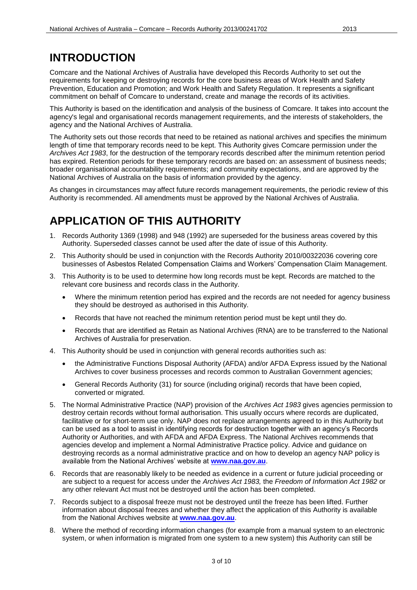## <span id="page-2-0"></span>**INTRODUCTION**

Comcare and the National Archives of Australia have developed this Records Authority to set out the requirements for keeping or destroying records for the core business areas of Work Health and Safety Prevention, Education and Promotion; and Work Health and Safety Regulation. It represents a significant commitment on behalf of Comcare to understand, create and manage the records of its activities.

This Authority is based on the identification and analysis of the business of Comcare. It takes into account the agency's legal and organisational records management requirements, and the interests of stakeholders, the agency and the National Archives of Australia.

The Authority sets out those records that need to be retained as national archives and specifies the minimum length of time that temporary records need to be kept. This Authority gives Comcare permission under the *Archives Act 1983*, for the destruction of the temporary records described after the minimum retention period has expired. Retention periods for these temporary records are based on: an assessment of business needs; broader organisational accountability requirements; and community expectations, and are approved by the National Archives of Australia on the basis of information provided by the agency.

As changes in circumstances may affect future records management requirements, the periodic review of this Authority is recommended. All amendments must be approved by the National Archives of Australia.

## <span id="page-2-1"></span>**APPLICATION OF THIS AUTHORITY**

- 1. Records Authority 1369 (1998) and 948 (1992) are superseded for the business areas covered by this Authority. Superseded classes cannot be used after the date of issue of this Authority.
- 2. This Authority should be used in conjunction with the Records Authority 2010/00322036 covering core businesses of Asbestos Related Compensation Claims and Workers' Compensation Claim Management.
- 3. This Authority is to be used to determine how long records must be kept. Records are matched to the relevant core business and records class in the Authority.
	- Where the minimum retention period has expired and the records are not needed for agency business they should be destroyed as authorised in this Authority.
	- Records that have not reached the minimum retention period must be kept until they do.
	- Records that are identified as Retain as National Archives (RNA) are to be transferred to the National Archives of Australia for preservation.
- 4. This Authority should be used in conjunction with general records authorities such as:
	- the Administrative Functions Disposal Authority (AFDA) and/or AFDA Express issued by the National Archives to cover business processes and records common to Australian Government agencies;
	- General Records Authority (31) for source (including original) records that have been copied, converted or migrated.
- 5. The Normal Administrative Practice (NAP) provision of the *Archives Act 1983* gives agencies permission to destroy certain records without formal authorisation. This usually occurs where records are duplicated, facilitative or for short-term use only. NAP does not replace arrangements agreed to in this Authority but can be used as a tool to assist in identifying records for destruction together with an agency's Records Authority or Authorities, and with AFDA and AFDA Express. The National Archives recommends that agencies develop and implement a Normal Administrative Practice policy. Advice and guidance on destroying records as a normal administrative practice and on how to develop an agency NAP policy is available from the National Archives' website at **[www.naa.gov.au](http://www.naa.gov.au/)**.
- 6. Records that are reasonably likely to be needed as evidence in a current or future judicial proceeding or are subject to a request for access under the *Archives Act 1983,* the *Freedom of Information Act 1982* or any other relevant Act must not be destroyed until the action has been completed.
- 7. Records subject to a disposal freeze must not be destroyed until the freeze has been lifted. Further information about disposal freezes and whether they affect the application of this Authority is available from the National Archives website at **[www.naa.gov.au](http://www.naa.gov.au/)**.
- 8. Where the method of recording information changes (for example from a manual system to an electronic system, or when information is migrated from one system to a new system) this Authority can still be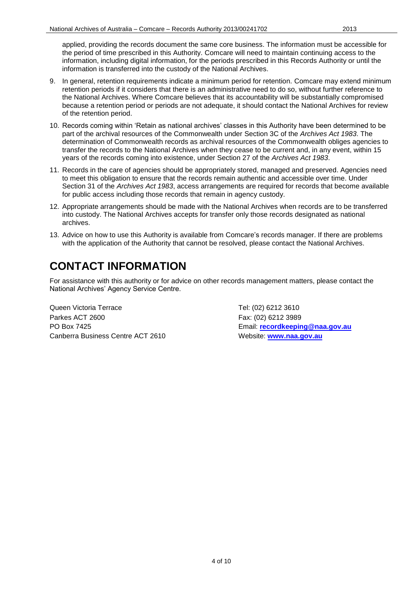applied, providing the records document the same core business. The information must be accessible for the period of time prescribed in this Authority. Comcare will need to maintain continuing access to the information, including digital information, for the periods prescribed in this Records Authority or until the information is transferred into the custody of the National Archives.

- 9. In general, retention requirements indicate a minimum period for retention. Comcare may extend minimum retention periods if it considers that there is an administrative need to do so, without further reference to the National Archives. Where Comcare believes that its accountability will be substantially compromised because a retention period or periods are not adequate, it should contact the National Archives for review of the retention period.
- 10. Records coming within 'Retain as national archives' classes in this Authority have been determined to be part of the archival resources of the Commonwealth under Section 3C of the *Archives Act 1983*. The determination of Commonwealth records as archival resources of the Commonwealth obliges agencies to transfer the records to the National Archives when they cease to be current and, in any event, within 15 years of the records coming into existence, under Section 27 of the *Archives Act 1983*.
- 11. Records in the care of agencies should be appropriately stored, managed and preserved. Agencies need to meet this obligation to ensure that the records remain authentic and accessible over time. Under Section 31 of the *Archives Act 1983*, access arrangements are required for records that become available for public access including those records that remain in agency custody.
- 12. Appropriate arrangements should be made with the National Archives when records are to be transferred into custody. The National Archives accepts for transfer only those records designated as national archives.
- 13. Advice on how to use this Authority is available from Comcare's records manager. If there are problems with the application of the Authority that cannot be resolved, please contact the National Archives.

## <span id="page-3-0"></span>**CONTACT INFORMATION**

For assistance with this authority or for advice on other records management matters, please contact the National Archives' Agency Service Centre.

Queen Victoria Terrace Tel: (02) 6212 3610 Parkes ACT 2600 Fax: (02) 6212 3989 PO Box 7425 Email: **[recordkeeping@naa.gov.au](mailto:recordkeeping@naa.gov.au)** Canberra Business Centre ACT 2610 Website: **[www.naa.gov.au](http://www.naa.gov.au/)**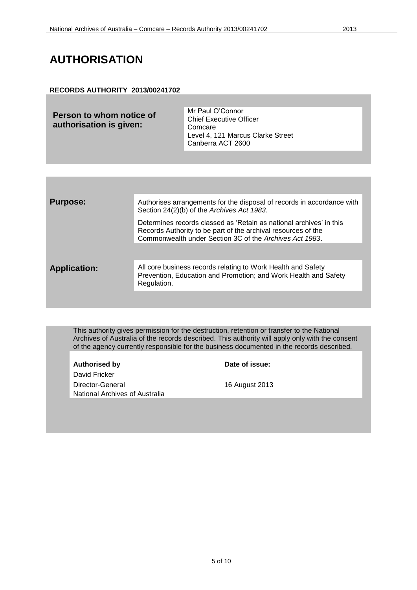## <span id="page-4-0"></span>**AUTHORISATION**

#### **RECORDS AUTHORITY 2013/00241702**

| Person to whom notice of<br>authorisation is given: | Mr Paul O'Connor<br><b>Chief Executive Officer</b><br>Comcare<br>Level 4, 121 Marcus Clarke Street<br>Canberra ACT 2600 |
|-----------------------------------------------------|-------------------------------------------------------------------------------------------------------------------------|
|                                                     |                                                                                                                         |

| <b>Purpose:</b>     | Authorises arrangements for the disposal of records in accordance with<br>Section 24(2)(b) of the Archives Act 1983.                                                                            |
|---------------------|-------------------------------------------------------------------------------------------------------------------------------------------------------------------------------------------------|
|                     | Determines records classed as 'Retain as national archives' in this<br>Records Authority to be part of the archival resources of the<br>Commonwealth under Section 3C of the Archives Act 1983. |
|                     |                                                                                                                                                                                                 |
|                     |                                                                                                                                                                                                 |
| <b>Application:</b> | All core business records relating to Work Health and Safety<br>Prevention, Education and Promotion; and Work Health and Safety<br>Regulation.                                                  |
|                     |                                                                                                                                                                                                 |

This authority gives permission for the destruction, retention or transfer to the National Archives of Australia of the records described. This authority will apply only with the consent of the agency currently responsible for the business documented in the records described.

| <b>Authorised by</b>                  |
|---------------------------------------|
| David Fricker                         |
| Director-General                      |
| <b>National Archives of Australia</b> |

**Date of issue:** 

16 August 2013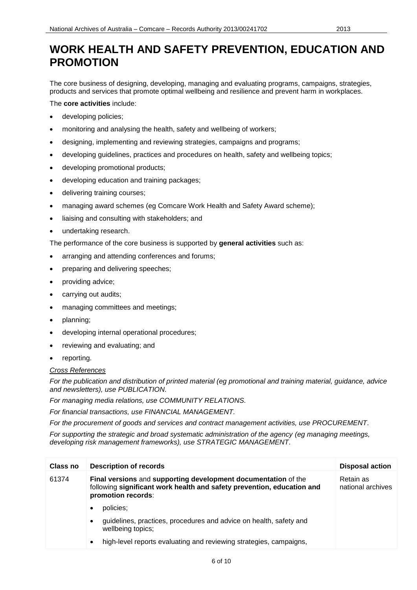#### <span id="page-5-0"></span>**WORK HEALTH AND SAFETY PREVENTION, EDUCATION AND PROMOTION**

The core business of designing, developing, managing and evaluating programs, campaigns, strategies, products and services that promote optimal wellbeing and resilience and prevent harm in workplaces.

The **core activities** include:

- developing policies;
- monitoring and analysing the health, safety and wellbeing of workers;
- designing, implementing and reviewing strategies, campaigns and programs;
- developing guidelines, practices and procedures on health, safety and wellbeing topics;
- developing promotional products;
- developing education and training packages;
- delivering training courses;
- managing award schemes (eg Comcare Work Health and Safety Award scheme);
- liaising and consulting with stakeholders; and
- undertaking research.

The performance of the core business is supported by **general activities** such as:

- arranging and attending conferences and forums;
- preparing and delivering speeches;
- providing advice;
- carrying out audits;
- managing committees and meetings;
- planning;
- developing internal operational procedures;
- reviewing and evaluating; and
- reporting.

#### *Cross References*

*For the publication and distribution of printed material (eg promotional and training material, guidance, advice and newsletters), use PUBLICATION.*

*For managing media relations, use COMMUNITY RELATIONS.*

*For financial transactions, use FINANCIAL MANAGEMENT.*

*For the procurement of goods and services and contract management activities, use PROCUREMENT.*

*For supporting the strategic and broad systematic administration of the agency (eg managing meetings, developing risk management frameworks), use STRATEGIC MANAGEMENT.*

| Class no | <b>Description of records</b>                                                                                                                                  | <b>Disposal action</b>         |
|----------|----------------------------------------------------------------------------------------------------------------------------------------------------------------|--------------------------------|
| 61374    | Final versions and supporting development documentation of the<br>following significant work health and safety prevention, education and<br>promotion records: | Retain as<br>national archives |
|          | policies;<br>٠                                                                                                                                                 |                                |
|          | guidelines, practices, procedures and advice on health, safety and<br>$\bullet$<br>wellbeing topics;                                                           |                                |
|          | high-level reports evaluating and reviewing strategies, campaigns,<br>$\bullet$                                                                                |                                |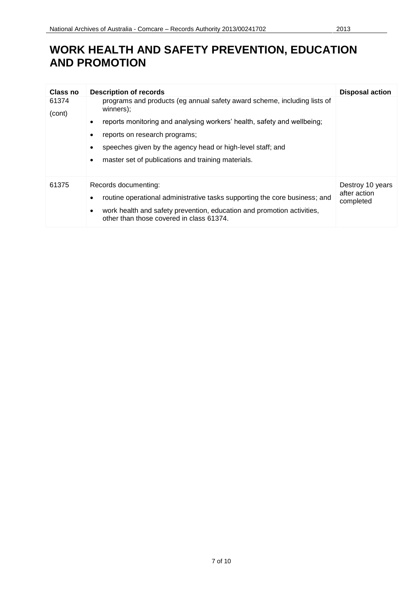## **WORK HEALTH AND SAFETY PREVENTION, EDUCATION AND PROMOTION**

| Class no        | <b>Description of records</b>                                                                                                   | <b>Disposal action</b>    |
|-----------------|---------------------------------------------------------------------------------------------------------------------------------|---------------------------|
| 61374<br>(cont) | programs and products (eg annual safety award scheme, including lists of<br>winners);                                           |                           |
|                 | reports monitoring and analysing workers' health, safety and wellbeing;<br>$\bullet$                                            |                           |
|                 | reports on research programs;                                                                                                   |                           |
|                 | speeches given by the agency head or high-level staff; and<br>٠                                                                 |                           |
|                 | master set of publications and training materials.                                                                              |                           |
| 61375           | Records documenting:                                                                                                            | Destroy 10 years          |
|                 | routine operational administrative tasks supporting the core business; and<br>٠                                                 | after action<br>completed |
|                 | work health and safety prevention, education and promotion activities,<br>$\bullet$<br>other than those covered in class 61374. |                           |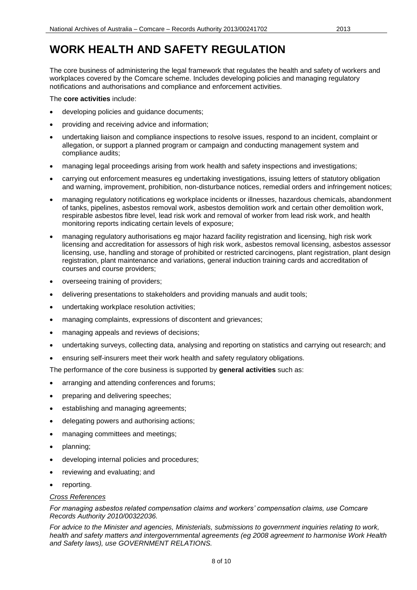# <span id="page-7-0"></span>**WORK HEALTH AND SAFETY REGULATION**

The core business of administering the legal framework that regulates the health and safety of workers and workplaces covered by the Comcare scheme. Includes developing policies and managing regulatory notifications and authorisations and compliance and enforcement activities.

The **core activities** include:

- developing policies and guidance documents;
- providing and receiving advice and information;
- undertaking liaison and compliance inspections to resolve issues, respond to an incident, complaint or allegation, or support a planned program or campaign and conducting management system and compliance audits;
- managing legal proceedings arising from work health and safety inspections and investigations;
- carrying out enforcement measures eg undertaking investigations, issuing letters of statutory obligation and warning, improvement, prohibition, non-disturbance notices, remedial orders and infringement notices;
- managing regulatory notifications eg workplace incidents or illnesses, hazardous chemicals, abandonment of tanks, pipelines, asbestos removal work, asbestos demolition work and certain other demolition work, respirable asbestos fibre level, lead risk work and removal of worker from lead risk work, and health monitoring reports indicating certain levels of exposure;
- managing regulatory authorisations eg major hazard facility registration and licensing, high risk work licensing and accreditation for assessors of high risk work, asbestos removal licensing, asbestos assessor licensing, use, handling and storage of prohibited or restricted carcinogens, plant registration, plant design registration, plant maintenance and variations, general induction training cards and accreditation of courses and course providers;
- overseeing training of providers;
- delivering presentations to stakeholders and providing manuals and audit tools;
- undertaking workplace resolution activities;
- managing complaints, expressions of discontent and grievances;
- managing appeals and reviews of decisions;
- undertaking surveys, collecting data, analysing and reporting on statistics and carrying out research; and
- ensuring self-insurers meet their work health and safety regulatory obligations.

The performance of the core business is supported by **general activities** such as:

- arranging and attending conferences and forums;
- preparing and delivering speeches;
- establishing and managing agreements;
- delegating powers and authorising actions;
- managing committees and meetings;
- planning;
- developing internal policies and procedures;
- reviewing and evaluating; and
- reporting.

#### *Cross References*

*For managing asbestos related compensation claims and workers' compensation claims, use Comcare Records Authority 2010/00322036.*

*For advice to the Minister and agencies, Ministerials, submissions to government inquiries relating to work, health and safety matters and intergovernmental agreements (eg 2008 agreement to harmonise Work Health and Safety laws), use GOVERNMENT RELATIONS.*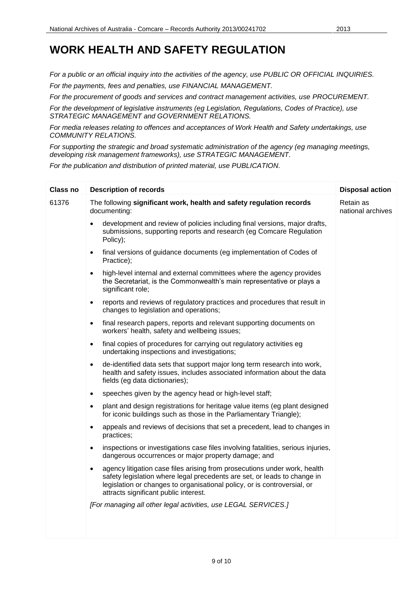# **WORK HEALTH AND SAFETY REGULATION**

*For a public or an official inquiry into the activities of the agency, use PUBLIC OR OFFICIAL INQUIRIES. For the payments, fees and penalties, use FINANCIAL MANAGEMENT.* 

*For the procurement of goods and services and contract management activities, use PROCUREMENT.*

*For the development of legislative instruments (eg Legislation, Regulations, Codes of Practice), use STRATEGIC MANAGEMENT and GOVERNMENT RELATIONS.*

*For media releases relating to offences and acceptances of Work Health and Safety undertakings, use COMMUNITY RELATIONS.*

*For supporting the strategic and broad systematic administration of the agency (eg managing meetings, developing risk management frameworks), use STRATEGIC MANAGEMENT.*

*For the publication and distribution of printed material, use PUBLICATION.*

| <b>Class no</b> | <b>Description of records</b>                                                                                                                                                                                                                                                           | <b>Disposal action</b>         |
|-----------------|-----------------------------------------------------------------------------------------------------------------------------------------------------------------------------------------------------------------------------------------------------------------------------------------|--------------------------------|
| 61376           | The following significant work, health and safety regulation records<br>documenting:                                                                                                                                                                                                    | Retain as<br>national archives |
|                 | development and review of policies including final versions, major drafts,<br>$\bullet$<br>submissions, supporting reports and research (eg Comcare Regulation<br>Policy);                                                                                                              |                                |
|                 | final versions of guidance documents (eg implementation of Codes of<br>$\bullet$<br>Practice);                                                                                                                                                                                          |                                |
|                 | high-level internal and external committees where the agency provides<br>$\bullet$<br>the Secretariat, is the Commonwealth's main representative or plays a<br>significant role;                                                                                                        |                                |
|                 | reports and reviews of regulatory practices and procedures that result in<br>$\bullet$<br>changes to legislation and operations;                                                                                                                                                        |                                |
|                 | final research papers, reports and relevant supporting documents on<br>$\bullet$<br>workers' health, safety and wellbeing issues;                                                                                                                                                       |                                |
|                 | final copies of procedures for carrying out regulatory activities eg<br>$\bullet$<br>undertaking inspections and investigations;                                                                                                                                                        |                                |
|                 | de-identified data sets that support major long term research into work,<br>$\bullet$<br>health and safety issues, includes associated information about the data<br>fields (eg data dictionaries);                                                                                     |                                |
|                 | speeches given by the agency head or high-level staff;<br>$\bullet$                                                                                                                                                                                                                     |                                |
|                 | plant and design registrations for heritage value items (eg plant designed<br>$\bullet$<br>for iconic buildings such as those in the Parliamentary Triangle);                                                                                                                           |                                |
|                 | appeals and reviews of decisions that set a precedent, lead to changes in<br>$\bullet$<br>practices;                                                                                                                                                                                    |                                |
|                 | inspections or investigations case files involving fatalities, serious injuries,<br>$\bullet$<br>dangerous occurrences or major property damage; and                                                                                                                                    |                                |
|                 | agency litigation case files arising from prosecutions under work, health<br>$\bullet$<br>safety legislation where legal precedents are set, or leads to change in<br>legislation or changes to organisational policy, or is controversial, or<br>attracts significant public interest. |                                |
|                 | [For managing all other legal activities, use LEGAL SERVICES.]                                                                                                                                                                                                                          |                                |